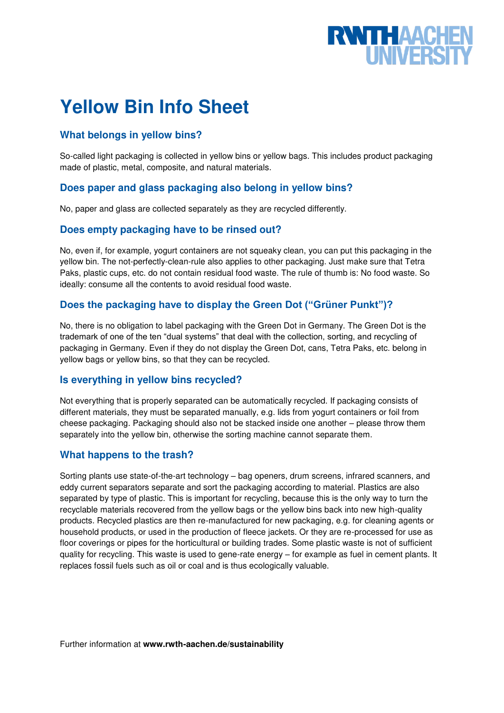

## **Yellow Bin Info Sheet**

### **What belongs in yellow bins?**

So-called light packaging is collected in yellow bins or yellow bags. This includes product packaging made of plastic, metal, composite, and natural materials.

### **Does paper and glass packaging also belong in yellow bins?**

No, paper and glass are collected separately as they are recycled differently.

#### **Does empty packaging have to be rinsed out?**

No, even if, for example, yogurt containers are not squeaky clean, you can put this packaging in the yellow bin. The not-perfectly-clean-rule also applies to other packaging. Just make sure that Tetra Paks, plastic cups, etc. do not contain residual food waste. The rule of thumb is: No food waste. So ideally: consume all the contents to avoid residual food waste.

### **Does the packaging have to display the Green Dot ("Grüner Punkt")?**

No, there is no obligation to label packaging with the Green Dot in Germany. The Green Dot is the trademark of one of the ten "dual systems" that deal with the collection, sorting, and recycling of packaging in Germany. Even if they do not display the Green Dot, cans, Tetra Paks, etc. belong in yellow bags or yellow bins, so that they can be recycled.

#### **Is everything in yellow bins recycled?**

Not everything that is properly separated can be automatically recycled. If packaging consists of different materials, they must be separated manually, e.g. lids from yogurt containers or foil from cheese packaging. Packaging should also not be stacked inside one another – please throw them separately into the yellow bin, otherwise the sorting machine cannot separate them.

### **What happens to the trash?**

Sorting plants use state-of-the-art technology – bag openers, drum screens, infrared scanners, and eddy current separators separate and sort the packaging according to material. Plastics are also separated by type of plastic. This is important for recycling, because this is the only way to turn the recyclable materials recovered from the yellow bags or the yellow bins back into new high-quality products. Recycled plastics are then re-manufactured for new packaging, e.g. for cleaning agents or household products, or used in the production of fleece jackets. Or they are re-processed for use as floor coverings or pipes for the horticultural or building trades. Some plastic waste is not of sufficient quality for recycling. This waste is used to gene-rate energy – for example as fuel in cement plants. It replaces fossil fuels such as oil or coal and is thus ecologically valuable.

Further information at **www.rwth-aachen.de/sustainability**